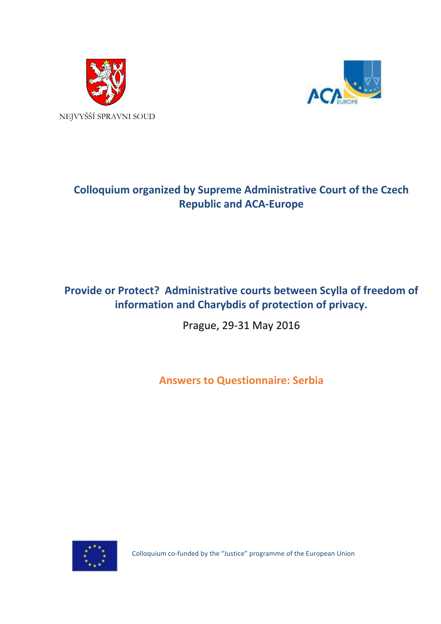



# **Colloquium organized by Supreme Administrative Court of the Czech Republic and ACA-Europe**

## **Provide or Protect? Administrative courts between Scylla of freedom of information and Charybdis of protection of privacy.**

Prague, 29-31 May 2016

**Answers to Questionnaire: Serbia**



Colloquium co-funded by the "Justice" programme of the European Union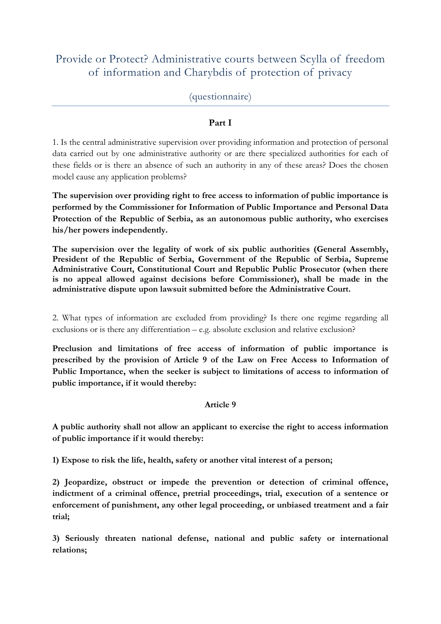## Provide or Protect? Administrative courts between Scylla of freedom of information and Charybdis of protection of privacy

## (questionnaire)

## **Part I**

1. Is the central administrative supervision over providing information and protection of personal data carried out by one administrative authority or are there specialized authorities for each of these fields or is there an absence of such an authority in any of these areas? Does the chosen model cause any application problems?

**The supervision over providing right to free access to information of public importance is performed by the Commissioner for Information of Public Importance and Personal Data Protection of the Republic of Serbia, as an autonomous public authority, who exercises his/her powers independently.**

**The supervision over the legality of work of six public authorities (General Assembly, President of the Republic of Serbia, Government of the Republic of Serbia, Supreme Administrative Court, Constitutional Court and Republic Public Prosecutor (when there is no appeal allowed against decisions before Commissioner), shall be made in the administrative dispute upon lawsuit submitted before the Administrative Court.** 

2. What types of information are excluded from providing? Is there one regime regarding all exclusions or is there any differentiation – e.g. absolute exclusion and relative exclusion?

**Preclusion and limitations of free access of information of public importance is prescribed by the provision of Article 9 of the Law on Free Access to Information of Public Importance, when the seeker is subject to limitations of access to information of public importance, if it would thereby:**

#### **Article 9**

**A public authority shall not allow an applicant to exercise the right to access information of public importance if it would thereby:**

**1) Expose to risk the life, health, safety or another vital interest of a person;**

**2) Jeopardize, obstruct or impede the prevention or detection of criminal offence, indictment of a criminal offence, pretrial proceedings, trial, execution of a sentence or enforcement of punishment, any other legal proceeding, or unbiased treatment and a fair trial;**

**3) Seriously threaten national defense, national and public safety or international relations;**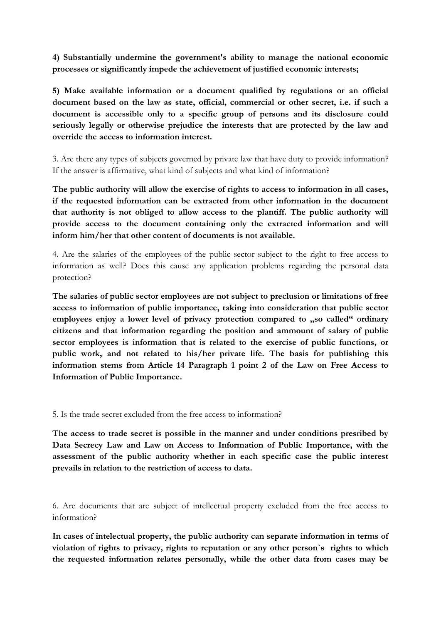**4) Substantially undermine the government's ability to manage the national economic processes or significantly impede the achievement of justified economic interests;**

**5) Make available information or a document qualified by regulations or an official document based on the law as state, official, commercial or other secret, i.e. if such a document is accessible only to a specific group of persons and its disclosure could seriously legally or otherwise prejudice the interests that are protected by the law and override the access to information interest.**

3. Are there any types of subjects governed by private law that have duty to provide information? If the answer is affirmative, what kind of subjects and what kind of information?

**The public authority will allow the exercise of rights to access to information in all cases, if the requested information can be extracted from other information in the document that authority is not obliged to allow access to the plantiff. The public authority will provide access to the document containing only the extracted information and will inform him/her that other content of documents is not available.** 

4. Are the salaries of the employees of the public sector subject to the right to free access to information as well? Does this cause any application problems regarding the personal data protection?

**The salaries of public sector employees are not subject to preclusion or limitations of free access to information of public importance, taking into consideration that public sector**  employees enjoy a lower level of privacy protection compared to "so called" ordinary **citizens and that information regarding the position and ammount of salary of public sector employees is information that is related to the exercise of public functions, or public work, and not related to his/her private life. The basis for publishing this information stems from Article 14 Paragraph 1 point 2 of the Law on Free Access to Information of Public Importance.** 

5. Is the trade secret excluded from the free access to information?

**The access to trade secret is possible in the manner and under conditions presribed by Data Secrecy Law and Law on Access to Information of Public Importance, with the assessment of the public authority whether in each specific case the public interest prevails in relation to the restriction of access to data.** 

6. Are documents that are subject of intellectual property excluded from the free access to information?

**In cases of intelectual property, the public authority can separate information in terms of violation of rights to privacy, rights to reputation or any other person`s rights to which the requested information relates personally, while the other data from cases may be**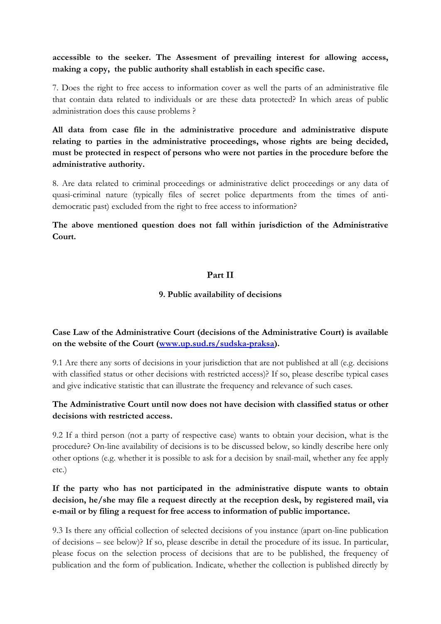## **accessible to the seeker. The Assesment of prevailing interest for allowing access, making a copy, the public authority shall establish in each specific case.**

7. Does the right to free access to information cover as well the parts of an administrative file that contain data related to individuals or are these data protected? In which areas of public administration does this cause problems ?

**All data from case file in the administrative procedure and administrative dispute relating to parties in the administrative proceedings, whose rights are being decided, must be protected in respect of persons who were not parties in the procedure before the administrative authority.** 

8. Are data related to criminal proceedings or administrative delict proceedings or any data of quasi-criminal nature (typically files of secret police departments from the times of antidemocratic past) excluded from the right to free access to information?

**The above mentioned question does not fall within jurisdiction of the Administrative Court.** 

## **Part II**

#### **9. Public availability of decisions**

**Case Law of the Administrative Court (decisions of the Administrative Court) is available on the website of the Court [\(www.up.sud.rs/sudska-praksa\)](http://www.up.sud.rs/sudska-praksa).**

9.1 Are there any sorts of decisions in your jurisdiction that are not published at all (e.g. decisions with classified status or other decisions with restricted access)? If so, please describe typical cases and give indicative statistic that can illustrate the frequency and relevance of such cases.

## **The Administrative Court until now does not have decision with classified status or other decisions with restricted access.**

9.2 If a third person (not a party of respective case) wants to obtain your decision, what is the procedure? On-line availability of decisions is to be discussed below, so kindly describe here only other options (e.g. whether it is possible to ask for a decision by snail-mail, whether any fee apply etc.)

## **If the party who has not participated in the administrative dispute wants to obtain decision, he/she may file a request directly at the reception desk, by registered mail, via e-mail or by filing a request for free access to information of public importance.**

9.3 Is there any official collection of selected decisions of you instance (apart on-line publication of decisions – see below)? If so, please describe in detail the procedure of its issue. In particular, please focus on the selection process of decisions that are to be published, the frequency of publication and the form of publication. Indicate, whether the collection is published directly by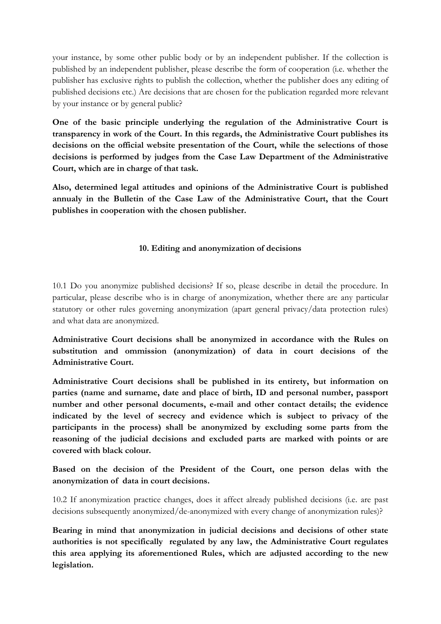your instance, by some other public body or by an independent publisher. If the collection is published by an independent publisher, please describe the form of cooperation (i.e. whether the publisher has exclusive rights to publish the collection, whether the publisher does any editing of published decisions etc.) Are decisions that are chosen for the publication regarded more relevant by your instance or by general public?

**One of the basic principle underlying the regulation of the Administrative Court is transparency in work of the Court. In this regards, the Administrative Court publishes its decisions on the official website presentation of the Court, while the selections of those decisions is performed by judges from the Case Law Department of the Administrative Court, which are in charge of that task.** 

**Also, determined legal attitudes and opinions of the Administrative Court is published annualy in the Bulletin of the Case Law of the Administrative Court, that the Court publishes in cooperation with the chosen publisher.** 

#### **10. Editing and anonymization of decisions**

10.1 Do you anonymize published decisions? If so, please describe in detail the procedure. In particular, please describe who is in charge of anonymization, whether there are any particular statutory or other rules governing anonymization (apart general privacy/data protection rules) and what data are anonymized.

**Administrative Court decisions shall be anonymized in accordance with the Rules on substitution and ommission (anonymization) of data in court decisions of the Administrative Court.** 

**Administrative Court decisions shall be published in its entirety, but information on parties (name and surname, date and place of birth, ID and personal number, passport number and other personal documents, e-mail and other contact details; the evidence indicated by the level of secrecy and evidence which is subject to privacy of the participants in the process) shall be anonymized by excluding some parts from the reasoning of the judicial decisions and excluded parts are marked with points or are covered with black colour.** 

**Based on the decision of the President of the Court, one person delas with the anonymization of data in court decisions.** 

10.2 If anonymization practice changes, does it affect already published decisions (i.e. are past decisions subsequently anonymized/de-anonymized with every change of anonymization rules)?

**Bearing in mind that anonymization in judicial decisions and decisions of other state authorities is not specifically regulated by any law, the Administrative Court regulates this area applying its aforementioned Rules, which are adjusted according to the new legislation.**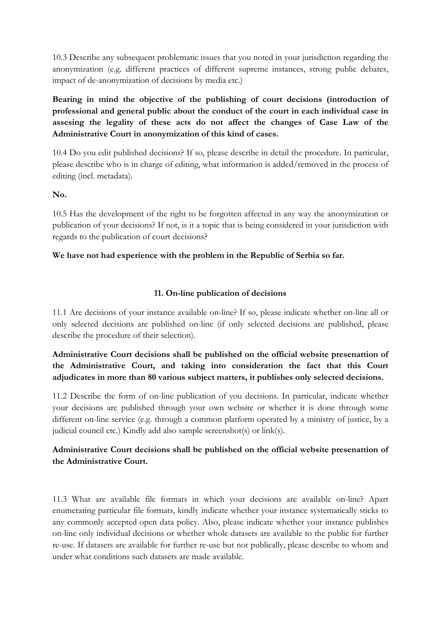10.3 Describe any subsequent problematic issues that you noted in your jurisdiction regarding the anonymization (e.g. different practices of different supreme instances, strong public debates, impact of de-anonymization of decisions by media etc.)

**Bearing in mind the objective of the publishing of court decisions (introduction of professional and general public about the conduct of the court in each individual case in assesing the legality of these acts do not affect the changes of Case Law of the Administrative Court in anonymization of this kind of cases.** 

10.4 Do you edit published decisions? If so, please describe in detail the procedure. In particular, please describe who is in charge of editing, what information is added/removed in the process of editing (incl. metadata).

#### **No.**

10.5 Has the development of the right to be forgotten affected in any way the anonymization or publication of your decisions? If not, is it a topic that is being considered in your jurisdiction with regards to the publication of court decisions?

#### **We have not had experience with the problem in the Republic of Serbia so far.**

#### **11. On-line publication of decisions**

11.1 Are decisions of your instance available on-line? If so, please indicate whether on-line all or only selected decisions are published on-line (if only selected decisions are published, please describe the procedure of their selection).

## **Administrative Court decisions shall be published on the official website presenattion of the Administrative Court, and taking into consideration the fact that this Court adjudicates in more than 80 various subject matters, it publishes only selected decisions.**

11.2 Describe the form of on-line publication of you decisions. In particular, indicate whether your decisions are published through your own website or whether it is done through some different on-line service (e.g. through a common platform operated by a ministry of justice, by a judicial council etc.) Kindly add also sample screenshot(s) or link(s).

## **Administrative Court decisions shall be published on the official website presenattion of the Administrative Court.**

11.3 What are available file formats in which your decisions are available on-line? Apart enumerating particular file formats, kindly indicate whether your instance systematically sticks to any commonly accepted open data policy. Also, please indicate whether your instance publishes on-line only individual decisions or whether whole datasets are available to the public for further re-use. If datasets are available for further re-use but not publically, please describe to whom and under what conditions such datasets are made available.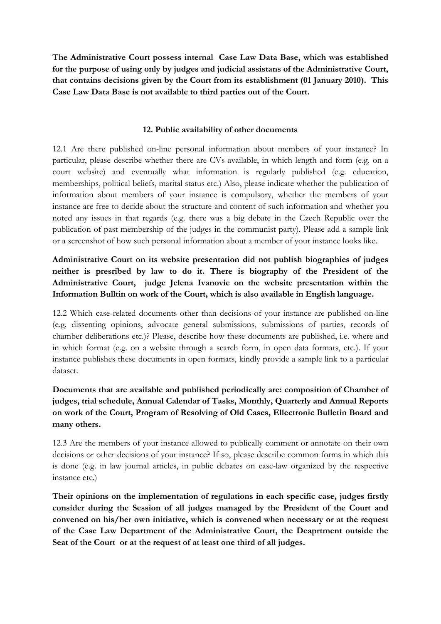**The Administrative Court possess internal Case Law Data Base, which was established for the purpose of using only by judges and judicial assistans of the Administrative Court, that contains decisions given by the Court from its establishment (01 January 2010). This Case Law Data Base is not available to third parties out of the Court.** 

#### **12. Public availability of other documents**

12.1 Are there published on-line personal information about members of your instance? In particular, please describe whether there are CVs available, in which length and form (e.g. on a court website) and eventually what information is regularly published (e.g. education, memberships, political beliefs, marital status etc.) Also, please indicate whether the publication of information about members of your instance is compulsory, whether the members of your instance are free to decide about the structure and content of such information and whether you noted any issues in that regards (e.g. there was a big debate in the Czech Republic over the publication of past membership of the judges in the communist party). Please add a sample link or a screenshot of how such personal information about a member of your instance looks like.

**Administrative Court on its website presentation did not publish biographies of judges neither is presribed by law to do it. There is biography of the President of the Administrative Court, judge Jelena Ivanovic on the website presentation within the Information Bulltin on work of the Court, which is also available in English language.**

12.2 Which case-related documents other than decisions of your instance are published on-line (e.g. dissenting opinions, advocate general submissions, submissions of parties, records of chamber deliberations etc.)? Please, describe how these documents are published, i.e. where and in which format (e.g. on a website through a search form, in open data formats, etc.). If your instance publishes these documents in open formats, kindly provide a sample link to a particular dataset.

## **Documents that are available and published periodically are: composition of Chamber of judges, trial schedule, Annual Calendar of Tasks, Monthly, Quarterly and Annual Reports on work of the Court, Program of Resolving of Old Cases, Ellectronic Bulletin Board and many others.**

12.3 Are the members of your instance allowed to publically comment or annotate on their own decisions or other decisions of your instance? If so, please describe common forms in which this is done (e.g. in law journal articles, in public debates on case-law organized by the respective instance etc.)

**Their opinions on the implementation of regulations in each specific case, judges firstly consider during the Session of all judges managed by the President of the Court and convened on his/her own initiative, which is convened when necessary or at the request of the Case Law Department of the Administrative Court, the Deaprtment outside the Seat of the Court or at the request of at least one third of all judges.**